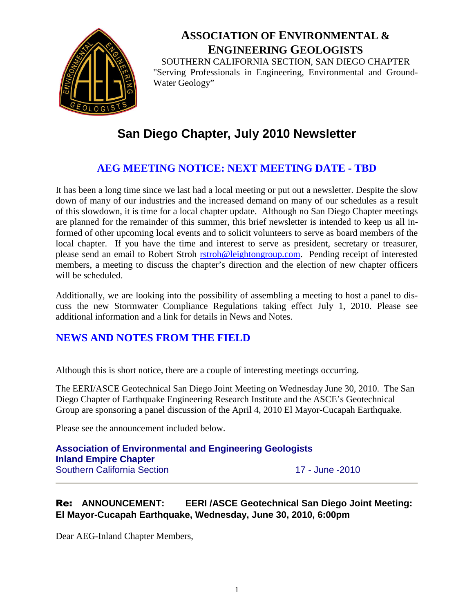

# **ASSOCIATION OF ENVIRONMENTAL & ENGINEERING GEOLOGISTS** SOUTHERN CALIFORNIA SECTION, SAN DIEGO CHAPTER

"Serving Professionals in Engineering, Environmental and Ground-Water Geology"

# **San Diego Chapter, July 2010 Newsletter**

## **AEG MEETING NOTICE: NEXT MEETING DATE - TBD**

It has been a long time since we last had a local meeting or put out a newsletter. Despite the slow down of many of our industries and the increased demand on many of our schedules as a result of this slowdown, it is time for a local chapter update. Although no San Diego Chapter meetings are planned for the remainder of this summer, this brief newsletter is intended to keep us all informed of other upcoming local events and to solicit volunteers to serve as board members of the local chapter. If you have the time and interest to serve as president, secretary or treasurer, please send an email to Robert Stroh [rstroh@leightongroup.com](mailto:rstroh@leightongroup.com). Pending receipt of interested members, a meeting to discuss the chapter's direction and the election of new chapter officers will be scheduled.

Additionally, we are looking into the possibility of assembling a meeting to host a panel to discuss the new Stormwater Compliance Regulations taking effect July 1, 2010. Please see additional information and a link for details in News and Notes.

## **NEWS AND NOTES FROM THE FIELD**

Although this is short notice, there are a couple of interesting meetings occurring.

The EERI/ASCE Geotechnical San Diego Joint Meeting on Wednesday June 30, 2010. The San Diego Chapter of Earthquake Engineering Research Institute and the ASCE's Geotechnical Group are sponsoring a panel discussion of the April 4, 2010 El Mayor-Cucapah Earthquake.

Please see the announcement included below.

**Association of Environmental and Engineering Geologists Inland Empire Chapter** Southern California Section 17 - June -2010

## Re: **ANNOUNCEMENT: EERI /ASCE Geotechnical San Diego Joint Meeting: El Mayor-Cucapah Earthquake, Wednesday, June 30, 2010, 6:00pm**

Dear AEG-Inland Chapter Members,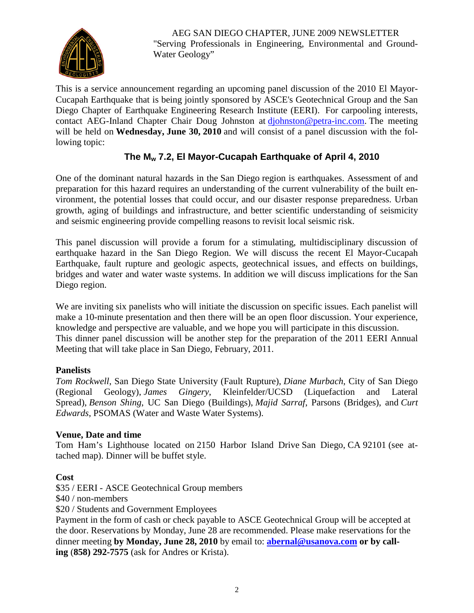

AEG SAN DIEGO CHAPTER, JUNE 2009 NEWSLETTER "Serving Professionals in Engineering, Environmental and Ground-Water Geology"

This is a service announcement regarding an upcoming panel discussion of the 2010 El Mayor-Cucapah Earthquake that is being jointly sponsored by ASCE's Geotechnical Group and the San Diego Chapter of Earthquake Engineering Research Institute (EERI). For carpooling interests, contact AEG-Inland Chapter Chair Doug Johnston at [djohnston@petra-inc.com.](mailto:djohnston@petra-inc.com) The meeting will be held on **Wednesday, June 30, 2010** and will consist of a panel discussion with the following topic:

## **The M<sup>w</sup> 7.2, El Mayor-Cucapah Earthquake of April 4, 2010**

One of the dominant natural hazards in the San Diego region is earthquakes. Assessment of and preparation for this hazard requires an understanding of the current vulnerability of the built environment, the potential losses that could occur, and our disaster response preparedness. Urban growth, aging of buildings and infrastructure, and better scientific understanding of seismicity and seismic engineering provide compelling reasons to revisit local seismic risk.

This panel discussion will provide a forum for a stimulating, multidisciplinary discussion of earthquake hazard in the San Diego Region. We will discuss the recent El Mayor-Cucapah Earthquake, fault rupture and geologic aspects, geotechnical issues, and effects on buildings, bridges and water and water waste systems. In addition we will discuss implications for the San Diego region.

We are inviting six panelists who will initiate the discussion on specific issues. Each panelist will make a 10-minute presentation and then there will be an open floor discussion. Your experience, knowledge and perspective are valuable, and we hope you will participate in this discussion. This dinner panel discussion will be another step for the preparation of the 2011 EERI Annual Meeting that will take place in San Diego, February, 2011.

#### **Panelists**

*Tom Rockwell*, San Diego State University (Fault Rupture), *Diane Murbach*, City of San Diego (Regional Geology), *James Gingery*, Kleinfelder/UCSD (Liquefaction and Lateral Spread), *Benson Shing*, UC San Diego (Buildings), *Majid Sarraf*, Parsons (Bridges), and *Curt Edwards*, PSOMAS (Water and Waste Water Systems).

#### **Venue, Date and time**

Tom Ham's Lighthouse located on 2150 Harbor Island Drive San Diego, CA 92101 (see attached map). Dinner will be buffet style.

#### **Cost**

\$35 / EERI - ASCE Geotechnical Group members

\$40 / non-members

\$20 / Students and Government Employees

Payment in the form of cash or check payable to ASCE Geotechnical Group will be accepted at the door. Reservations by Monday, June 28 are recommended. Please make reservations for the dinner meeting **by Monday, June 28, 2010** by email to: **[abernal@usanova.com](mailto:abernal@usanova.com) or by calling** (**858) 292-7575** (ask for Andres or Krista).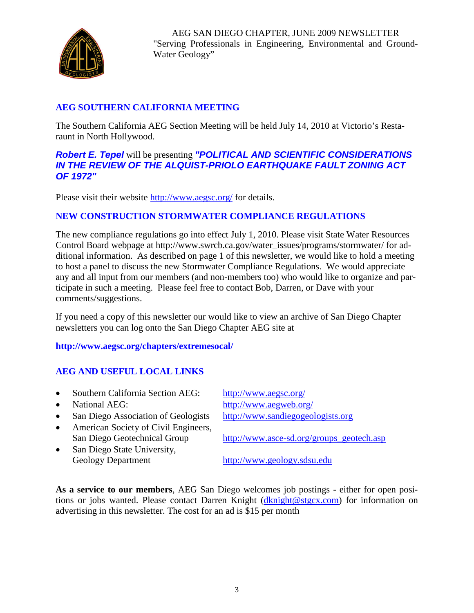

AEG SAN DIEGO CHAPTER, JUNE 2009 NEWSLETTER "Serving Professionals in Engineering, Environmental and Ground-Water Geology"

## **AEG SOUTHERN CALIFORNIA MEETING**

The Southern California AEG Section Meeting will be held July 14, 2010 at Victorio's Restaraunt in North Hollywood.

#### *Robert E. Tepel* will be presenting *"POLITICAL AND SCIENTIFIC CONSIDERATIONS IN THE REVIEW OF THE ALQUIST-PRIOLO EARTHQUAKE FAULT ZONING ACT OF 1972"*

Please visit their website <http://www.aegsc.org/> for details.

### **NEW CONSTRUCTION STORMWATER COMPLIANCE REGULATIONS**

The new compliance regulations go into effect July 1, 2010. Please visit State Water Resources Control Board webpage at http://www.swrcb.ca.gov/water\_issues/programs/stormwater/ for additional information. As described on page 1 of this newsletter, we would like to hold a meeting to host a panel to discuss the new Stormwater Compliance Regulations. We would appreciate any and all input from our members (and non-members too) who would like to organize and participate in such a meeting. Please feel free to contact Bob, Darren, or Dave with your comments/suggestions.

If you need a copy of this newsletter our would like to view an archive of San Diego Chapter newsletters you can log onto the San Diego Chapter AEG site at

#### **http://www.aegsc.org/chapters/extremesocal/**

## **AEG AND USEFUL LOCAL LINKS**

- Southern California Section AEG: <http://www.aegsc.org/>
- 
- San Diego Association of Geologists [http://www.sandiegogeologists.org](http://www.sandiegogeologists.org/)
- American Society of Civil Engineers,
- San Diego State University, Geology Department [http://www.geology.sdsu.edu](http://www.geology.sdsu.edu/)

• National AEG: <http://www.aegweb.org/>

San Diego Geotechnical Group [http://www.asce-sd.org/groups\\_geotech.asp](http://www.asce-sd.org/groups_geotech.asp)

**As a service to our members**, AEG San Diego welcomes job postings - either for open positions or jobs wanted. Please contact Darren Knight ([dknight@stgcx.com\)](mailto:dknight@stgcx.com) for information on advertising in this newsletter. The cost for an ad is \$15 per month